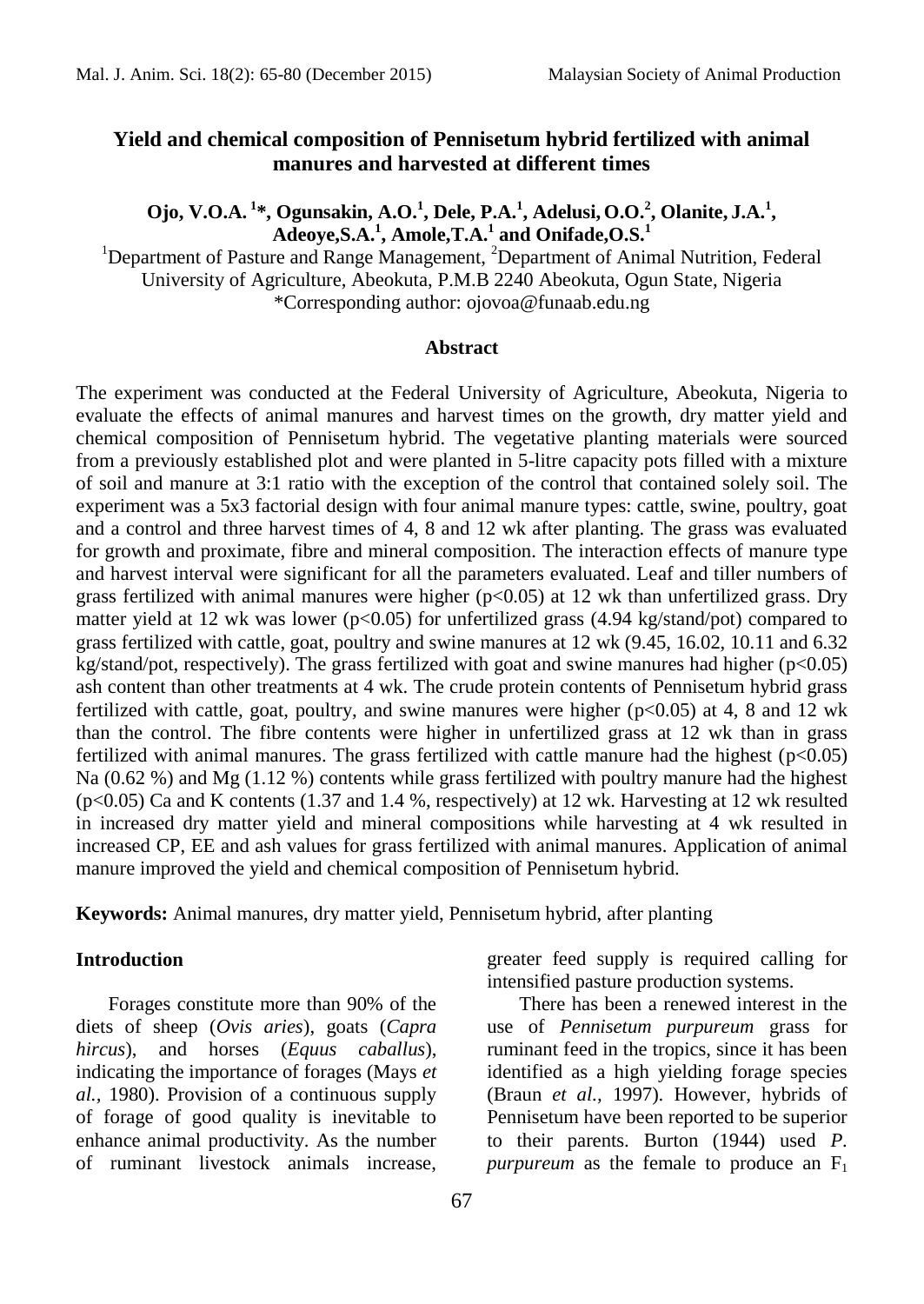## **Yield and chemical composition of Pennisetum hybrid fertilized with animal manures and harvested at different times**

**Ojo, V.O.A. <sup>1</sup> \*, Ogunsakin, A.O.<sup>1</sup> , Dele, P.A.<sup>1</sup> , Adelusi, O.O.<sup>2</sup> , Olanite, J.A.<sup>1</sup> , Adeoye,S.A.<sup>1</sup> , Amole,T.A.<sup>1</sup> and Onifade,O.S.<sup>1</sup>**

<sup>1</sup>Department of Pasture and Range Management, <sup>2</sup>Department of Animal Nutrition, Federal University of Agriculture, Abeokuta, P.M.B 2240 Abeokuta, Ogun State, Nigeria \*Corresponding author: [ojovoa@funaab.edu.ng](mailto:ojovoa@funaab.edu.ng)

#### **Abstract**

The experiment was conducted at the Federal University of Agriculture, Abeokuta, Nigeria to evaluate the effects of animal manures and harvest times on the growth, dry matter yield and chemical composition of Pennisetum hybrid. The vegetative planting materials were sourced from a previously established plot and were planted in 5-litre capacity pots filled with a mixture of soil and manure at 3:1 ratio with the exception of the control that contained solely soil. The experiment was a 5x3 factorial design with four animal manure types: cattle, swine, poultry, goat and a control and three harvest times of 4, 8 and 12 wk after planting. The grass was evaluated for growth and proximate, fibre and mineral composition. The interaction effects of manure type and harvest interval were significant for all the parameters evaluated. Leaf and tiller numbers of grass fertilized with animal manures were higher  $(p<0.05)$  at 12 wk than unfertilized grass. Dry matter yield at 12 wk was lower ( $p<0.05$ ) for unfertilized grass (4.94 kg/stand/pot) compared to grass fertilized with cattle, goat, poultry and swine manures at 12 wk (9.45, 16.02, 10.11 and 6.32 kg/stand/pot, respectively). The grass fertilized with goat and swine manures had higher (p<0.05) ash content than other treatments at 4 wk. The crude protein contents of Pennisetum hybrid grass fertilized with cattle, goat, poultry, and swine manures were higher  $(p<0.05)$  at 4, 8 and 12 wk than the control. The fibre contents were higher in unfertilized grass at 12 wk than in grass fertilized with animal manures. The grass fertilized with cattle manure had the highest  $(p<0.05)$ Na (0.62 %) and Mg (1.12 %) contents while grass fertilized with poultry manure had the highest (p<0.05) Ca and K contents (1.37 and 1.4 %, respectively) at 12 wk. Harvesting at 12 wk resulted in increased dry matter yield and mineral compositions while harvesting at 4 wk resulted in increased CP, EE and ash values for grass fertilized with animal manures. Application of animal manure improved the yield and chemical composition of Pennisetum hybrid.

**Keywords:** Animal manures, dry matter yield, Pennisetum hybrid, after planting

#### **Introduction**

Forages constitute more than 90% of the diets of sheep (*Ovis aries*), goats (*Capra hircus*), and horses (*Equus caballus*), indicating the importance of forages (Mays *et al.,* 1980). Provision of a continuous supply of forage of good quality is inevitable to enhance animal productivity. As the number of ruminant livestock animals increase, greater feed supply is required calling for intensified pasture production systems.

There has been a renewed interest in the use of *Pennisetum purpureum* grass for ruminant feed in the tropics, since it has been identified as a high yielding forage species (Braun *et al.,* 1997). However, hybrids of Pennisetum have been reported to be superior to their parents. Burton (1944) used *P. purpureum* as the female to produce an  $F_1$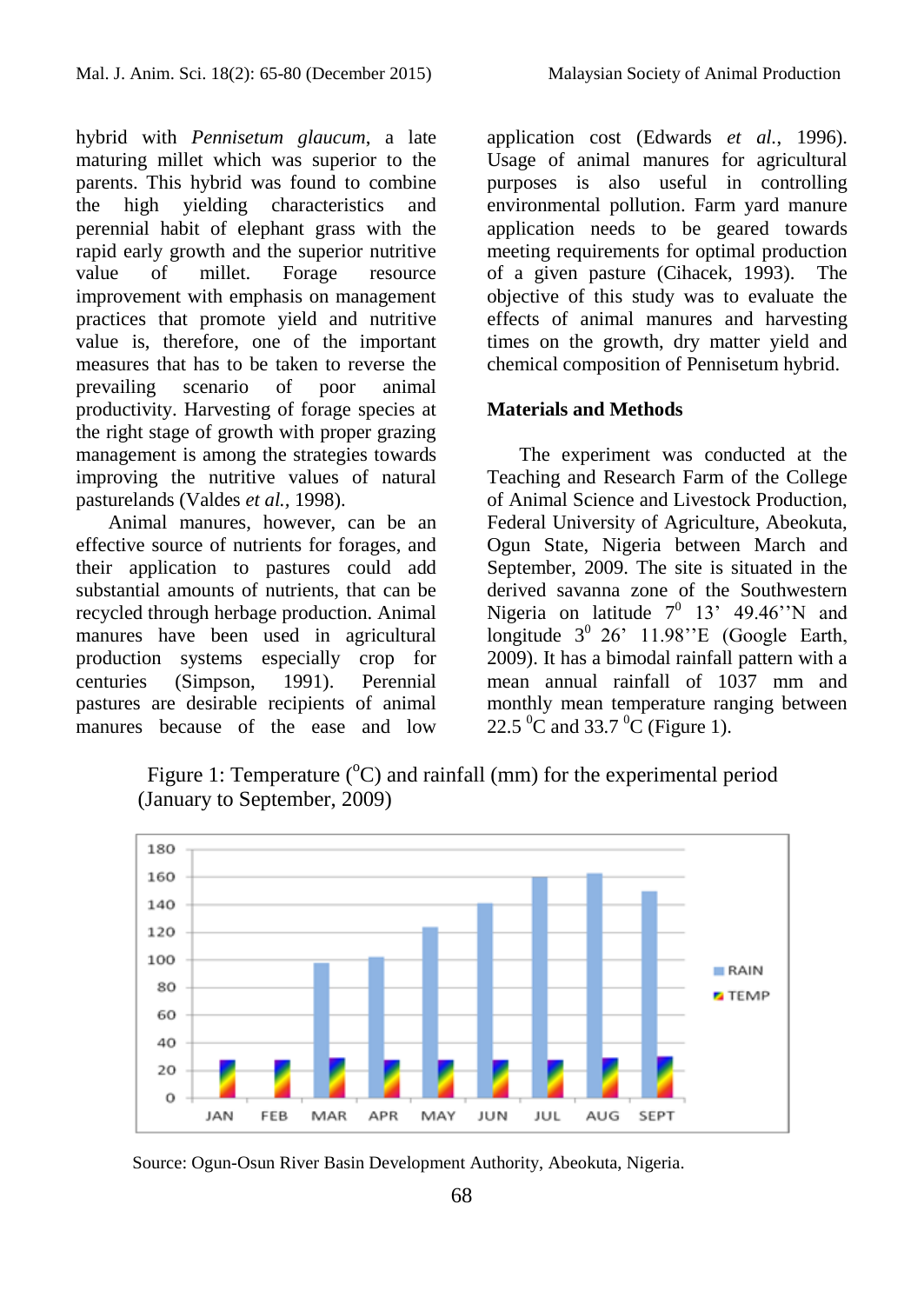hybrid with *Pennisetum glaucum*, a late maturing millet which was superior to the parents. This hybrid was found to combine the high yielding characteristics and perennial habit of elephant grass with the rapid early growth and the superior nutritive<br>value of millet. Forage resource value of millet. Forage resource improvement with emphasis on management practices that promote yield and nutritive value is, therefore, one of the important measures that has to be taken to reverse the prevailing scenario of poor animal productivity. Harvesting of forage species at the right stage of growth with proper grazing management is among the strategies towards improving the nutritive values of natural pasturelands (Valdes *et al.,* 1998).

Animal manures, however, can be an effective source of nutrients for forages, and their application to pastures could add substantial amounts of nutrients, that can be recycled through herbage production. Animal manures have been used in agricultural production systems especially crop for centuries (Simpson, 1991). Perennial pastures are desirable recipients of animal manures because of the ease and low

application cost (Edwards *et al.*, 1996). Usage of animal manures for agricultural purposes is also useful in controlling environmental pollution. Farm yard manure application needs to be geared towards meeting requirements for optimal production of a given pasture (Cihacek, 1993). The objective of this study was to evaluate the effects of animal manures and harvesting times on the growth, dry matter yield and chemical composition of Pennisetum hybrid.

## **Materials and Methods**

The experiment was conducted at the Teaching and Research Farm of the College of Animal Science and Livestock Production, Federal University of Agriculture, Abeokuta, Ogun State, Nigeria between March and September, 2009. The site is situated in the derived savanna zone of the Southwestern Nigeria on latitude  $7^0$  13' 49.46''N and longitude  $3^0$  26' 11.98"E (Google Earth, 2009). It has a bimodal rainfall pattern with a mean annual rainfall of 1037 mm and monthly mean temperature ranging between 22.5  $\rm{^0C}$  and 33.7  $\rm{^0C}$  (Figure 1).

Figure 1: Temperature  $({}^{\circ}C)$  and rainfall (mm) for the experimental period (January to September, 2009)



Source: Ogun-Osun River Basin Development Authority, Abeokuta, Nigeria.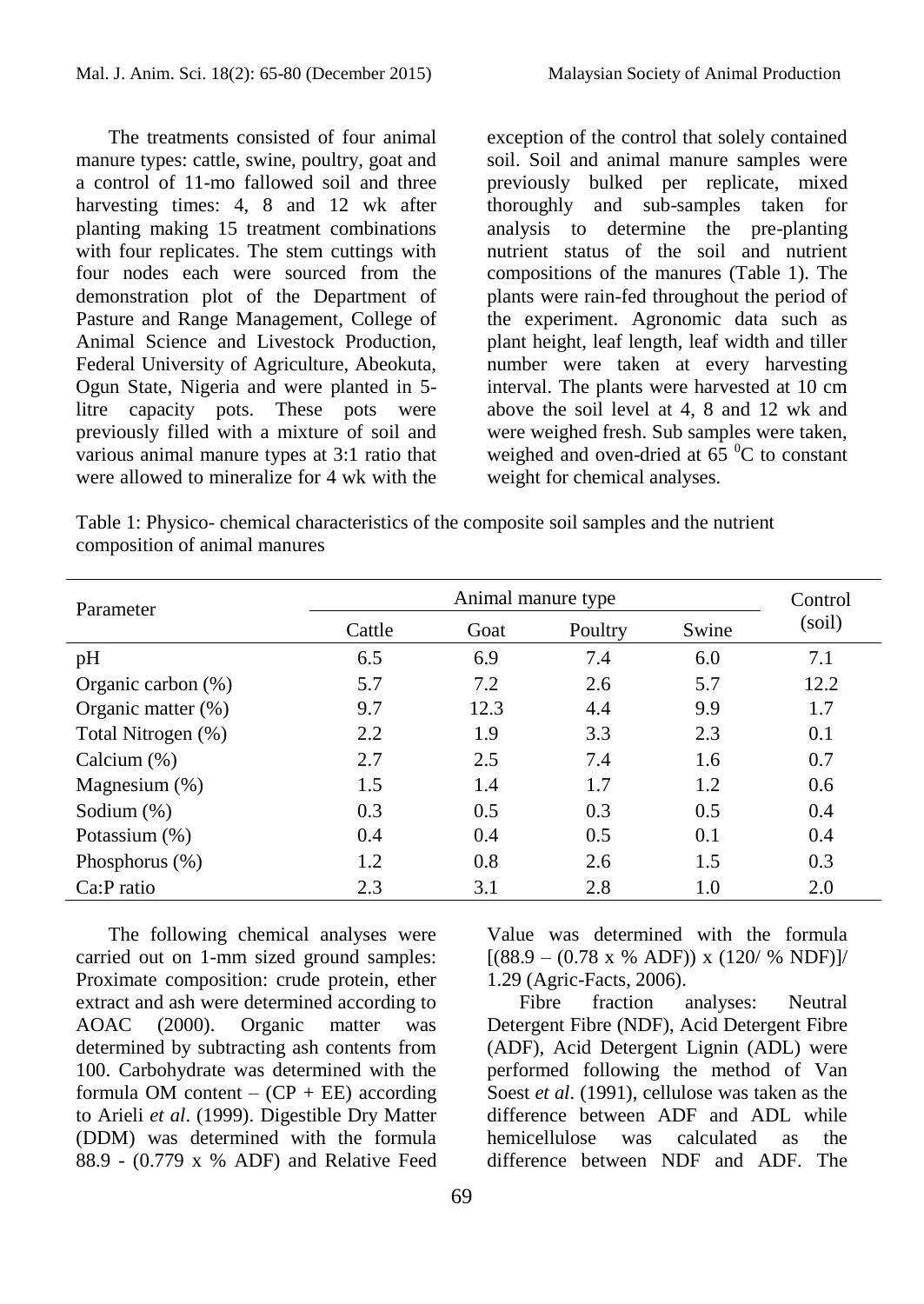The treatments consisted of four animal manure types: cattle, swine, poultry, goat and a control of 11-mo fallowed soil and three harvesting times: 4, 8 and 12 wk after planting making 15 treatment combinations with four replicates. The stem cuttings with four nodes each were sourced from the demonstration plot of the Department of Pasture and Range Management, College of Animal Science and Livestock Production, Federal University of Agriculture, Abeokuta, Ogun State, Nigeria and were planted in 5 litre capacity pots. These pots were previously filled with a mixture of soil and various animal manure types at 3:1 ratio that were allowed to mineralize for 4 wk with the

exception of the control that solely contained soil. Soil and animal manure samples were previously bulked per replicate, mixed thoroughly and sub-samples taken for analysis to determine the pre-planting nutrient status of the soil and nutrient compositions of the manures (Table 1). The plants were rain-fed throughout the period of the experiment. Agronomic data such as plant height, leaf length, leaf width and tiller number were taken at every harvesting interval. The plants were harvested at 10 cm above the soil level at 4, 8 and 12 wk and were weighed fresh. Sub samples were taken, weighed and oven-dried at  $6\overline{5}$  °C to constant weight for chemical analyses.

Table 1: Physico- chemical characteristics of the composite soil samples and the nutrient composition of animal manures

| Parameter          |        | Control |         |       |        |
|--------------------|--------|---------|---------|-------|--------|
|                    | Cattle | Goat    | Poultry | Swine | (soil) |
| pH                 | 6.5    | 6.9     | 7.4     | 6.0   | 7.1    |
| Organic carbon (%) | 5.7    | 7.2     | 2.6     | 5.7   | 12.2   |
| Organic matter (%) | 9.7    | 12.3    | 4.4     | 9.9   | 1.7    |
| Total Nitrogen (%) | 2.2    | 1.9     | 3.3     | 2.3   | 0.1    |
| Calcium $(\%)$     | 2.7    | 2.5     | 7.4     | 1.6   | 0.7    |
| Magnesium $(\%)$   | 1.5    | 1.4     | 1.7     | 1.2   | 0.6    |
| Sodium $(\%)$      | 0.3    | 0.5     | 0.3     | 0.5   | 0.4    |
| Potassium (%)      | 0.4    | 0.4     | 0.5     | 0.1   | 0.4    |
| Phosphorus $(\%)$  | 1.2    | 0.8     | 2.6     | 1.5   | 0.3    |
| $Ca:P$ ratio       | 2.3    | 3.1     | 2.8     | 1.0   | 2.0    |

The following chemical analyses were carried out on 1-mm sized ground samples: Proximate composition: crude protein, ether extract and ash were determined according to AOAC (2000). Organic matter was determined by subtracting ash contents from 100. Carbohydrate was determined with the formula OM content –  $(CP + EE)$  according to Arieli *et al*. (1999). Digestible Dry Matter (DDM) was determined with the formula 88.9 - (0.779 x % ADF) and Relative Feed

69

Value was determined with the formula  $[(88.9 - (0.78 \times %$  ADF)) x  $(120/ %$  NDF)]/ 1.29 (Agric-Facts, 2006).

Fibre fraction analyses: Neutral Detergent Fibre (NDF), Acid Detergent Fibre (ADF), Acid Detergent Lignin (ADL) were performed following the method of Van Soest *et al*. (1991), cellulose was taken as the difference between ADF and ADL while hemicellulose was calculated as the difference between NDF and ADF. The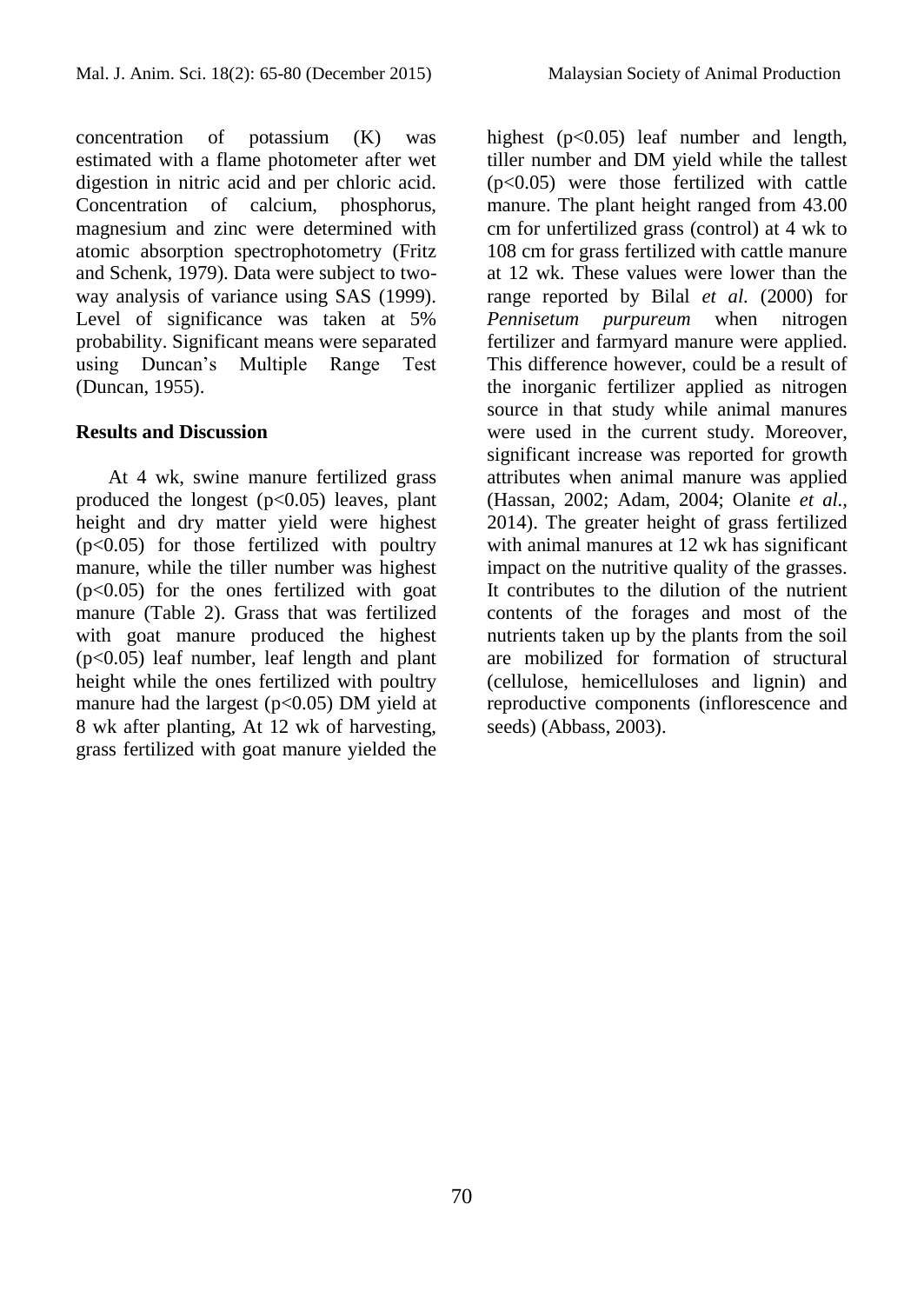concentration of potassium (K) was estimated with a flame photometer after wet digestion in nitric acid and per chloric acid. Concentration of calcium, phosphorus, magnesium and zinc were determined with atomic absorption spectrophotometry (Fritz and Schenk, 1979). Data were subject to twoway analysis of variance using SAS (1999). Level of significance was taken at 5% probability. Significant means were separated using Duncan's Multiple Range Test (Duncan, 1955).

## **Results and Discussion**

At 4 wk, swine manure fertilized grass produced the longest  $(p<0.05)$  leaves, plant height and dry matter yield were highest (p<0.05) for those fertilized with poultry manure, while the tiller number was highest (p<0.05) for the ones fertilized with goat manure (Table 2). Grass that was fertilized with goat manure produced the highest (p<0.05) leaf number, leaf length and plant height while the ones fertilized with poultry manure had the largest  $(p<0.05)$  DM yield at 8 wk after planting, At 12 wk of harvesting, grass fertilized with goat manure yielded the

highest (p<0.05) leaf number and length, tiller number and DM yield while the tallest (p<0.05) were those fertilized with cattle manure. The plant height ranged from 43.00 cm for unfertilized grass (control) at 4 wk to 108 cm for grass fertilized with cattle manure at 12 wk. These values were lower than the range reported by Bilal *et al.* (2000) for *Pennisetum purpureum* when nitrogen fertilizer and farmyard manure were applied. This difference however, could be a result of the inorganic fertilizer applied as nitrogen source in that study while animal manures were used in the current study. Moreover, significant increase was reported for growth attributes when animal manure was applied (Hassan, 2002; Adam, 2004; Olanite *et al.,* 2014). The greater height of grass fertilized with animal manures at 12 wk has significant impact on the nutritive quality of the grasses. It contributes to the dilution of the nutrient contents of the forages and most of the nutrients taken up by the plants from the soil are mobilized for formation of structural (cellulose, hemicelluloses and lignin) and reproductive components (inflorescence and seeds) (Abbass, 2003).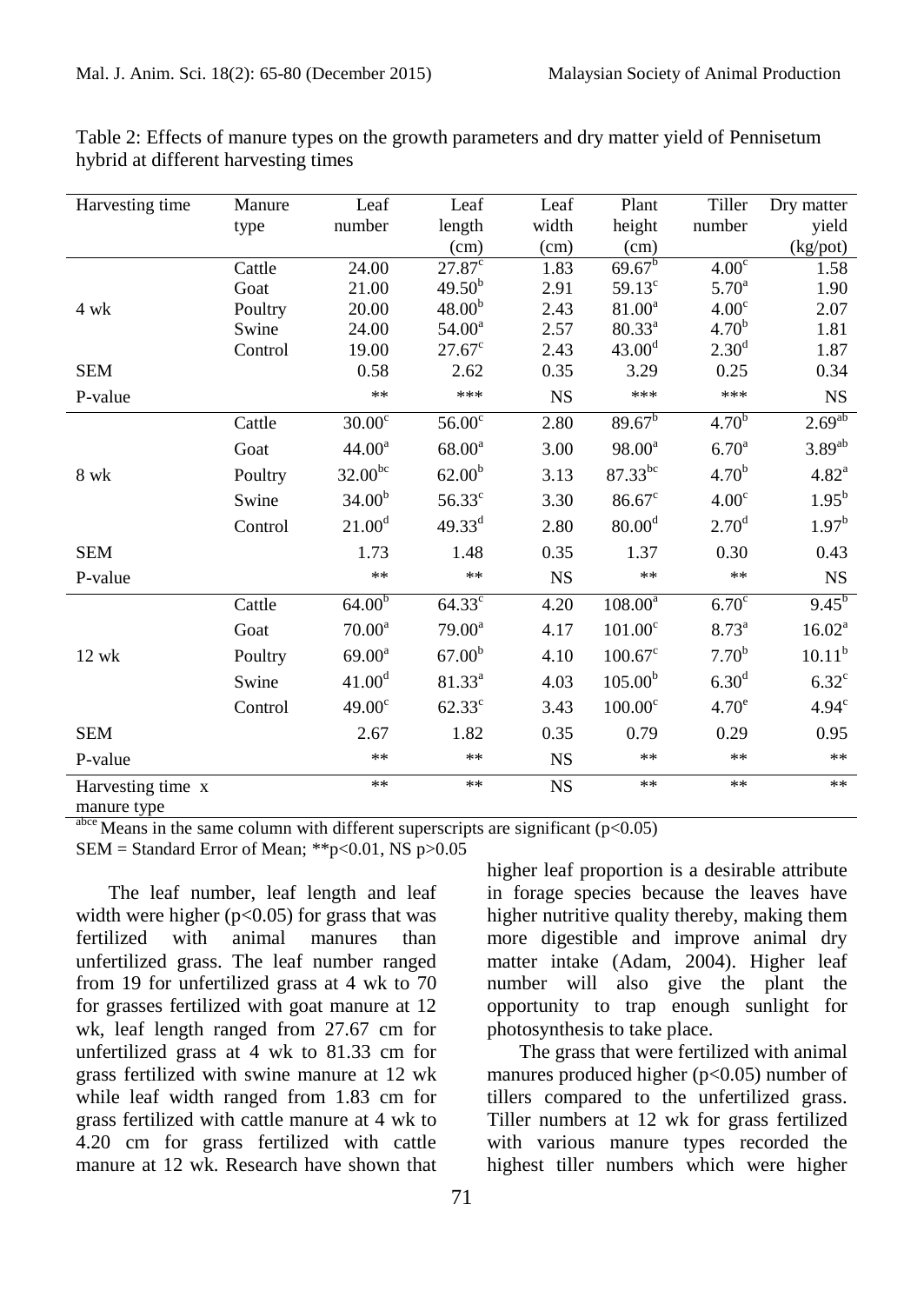| Harvesting time   | Manure  | Leaf               | Leaf               | Leaf        | Plant                | Tiller            | Dry matter           |
|-------------------|---------|--------------------|--------------------|-------------|----------------------|-------------------|----------------------|
|                   | type    | number             | length             | width       | height               | number            | yield                |
|                   |         |                    | (cm)               | (cm)        | (cm)                 |                   | (kg <sub>pot</sub> ) |
|                   | Cattle  | 24.00              | $27.87^{\circ}$    | 1.83        | $69.67^{b}$          | 4.00 <sup>c</sup> | 1.58                 |
|                   | Goat    | 21.00              | 49.50 <sup>b</sup> | 2.91        | $59.13^{\circ}$      | 5.70 <sup>a</sup> | 1.90                 |
| 4 wk              | Poultry | 20.00              | 48.00 <sup>b</sup> | 2.43        | 81.00 <sup>a</sup>   | 4.00 <sup>c</sup> | 2.07                 |
|                   | Swine   | 24.00              | $54.00^a$          | 2.57        | $80.33^{\rm a}$      | 4.70 <sup>b</sup> | 1.81                 |
|                   | Control | 19.00              | $27.67^{\circ}$    | 2.43        | 43.00 <sup>d</sup>   | 2.30 <sup>d</sup> | 1.87                 |
| <b>SEM</b>        |         | 0.58               | 2.62               | 0.35        | 3.29                 | 0.25              | 0.34                 |
| P-value           |         | $**$               | ***                | <b>NS</b>   | ***                  | ***               | <b>NS</b>            |
|                   | Cattle  | $30.00^{\circ}$    | $56.00^\circ$      | 2.80        | $89.67^{b}$          | 4.70 <sup>b</sup> | $2.69^{ab}$          |
|                   | Goat    | 44.00 <sup>a</sup> | $68.00^a$          | 3.00        | $98.00^a$            | 6.70 <sup>a</sup> | $3.89^{ab}$          |
| $8$ wk            | Poultry | $32.00^{bc}$       | 62.00 <sup>b</sup> | 3.13        | $87.33^{bc}$         | 4.70 <sup>b</sup> | $4.82^{a}$           |
|                   | Swine   | 34.00 <sup>b</sup> | $56.33^{\circ}$    | 3.30        | $86.67$ <sup>c</sup> | 4.00 <sup>c</sup> | $1.95^{b}$           |
|                   | Control | 21.00 <sup>d</sup> | $49.33^{d}$        | 2.80        | 80.00 <sup>d</sup>   | 2.70 <sup>d</sup> | 1.97 <sup>b</sup>    |
| <b>SEM</b>        |         | 1.73               | 1.48               | 0.35        | 1.37                 | 0.30              | 0.43                 |
| P-value           |         | $**$               | $**$               | <b>NS</b>   | $**$                 | $**$              | <b>NS</b>            |
|                   | Cattle  | 64.00 <sup>b</sup> | $64.33^{\circ}$    | 4.20        | $108.00^a$           | 6.70 <sup>c</sup> | $9.45^{b}$           |
|                   | Goat    | $70.00^a$          | $79.00^a$          | 4.17        | $101.00^{\circ}$     | $8.73^{a}$        | 16.02 <sup>a</sup>   |
| 12 wk             | Poultry | $69.00^a$          | 67.00 <sup>b</sup> | 4.10        | $100.67^{\circ}$     | 7.70 <sup>b</sup> | $10.11^{b}$          |
|                   | Swine   | 41.00 <sup>d</sup> | $81.33^{a}$        | 4.03        | 105.00 <sup>b</sup>  | 6.30 <sup>d</sup> | $6.32^{\circ}$       |
|                   | Control | 49.00 <sup>c</sup> | $62.33^{\circ}$    | 3.43        | $100.00^{\circ}$     | 4.70 <sup>e</sup> | 4.94 <sup>c</sup>    |
| <b>SEM</b>        |         | 2.67               | 1.82               | 0.35        | 0.79                 | 0.29              | 0.95                 |
| P-value           |         | **                 | **                 | <b>NS</b>   | **                   | $**$              | $\ast\ast$           |
| Harvesting time x |         | $**$               | $***$              | $_{\rm NS}$ | $***$                | $***$             | $**$                 |
| manure type       |         |                    |                    |             |                      |                   |                      |

Table 2: Effects of manure types on the growth parameters and dry matter yield of Pennisetum hybrid at different harvesting times

<sup>abce</sup> Means in the same column with different superscripts are significant ( $p<0.05$ )

 $SEM = Standard Error of Mean; **p<0.01, NS p>0.05$ 

The leaf number, leaf length and leaf width were higher ( $p<0.05$ ) for grass that was fertilized with animal manures than unfertilized grass. The leaf number ranged from 19 for unfertilized grass at 4 wk to 70 for grasses fertilized with goat manure at 12 wk, leaf length ranged from 27.67 cm for unfertilized grass at 4 wk to 81.33 cm for grass fertilized with swine manure at 12 wk while leaf width ranged from 1.83 cm for grass fertilized with cattle manure at 4 wk to 4.20 cm for grass fertilized with cattle manure at 12 wk. Research have shown that higher leaf proportion is a desirable attribute in forage species because the leaves have higher nutritive quality thereby, making them more digestible and improve animal dry matter intake (Adam, 2004). Higher leaf number will also give the plant the opportunity to trap enough sunlight for photosynthesis to take place.

The grass that were fertilized with animal manures produced higher  $(p<0.05)$  number of tillers compared to the unfertilized grass. Tiller numbers at 12 wk for grass fertilized with various manure types recorded the highest tiller numbers which were higher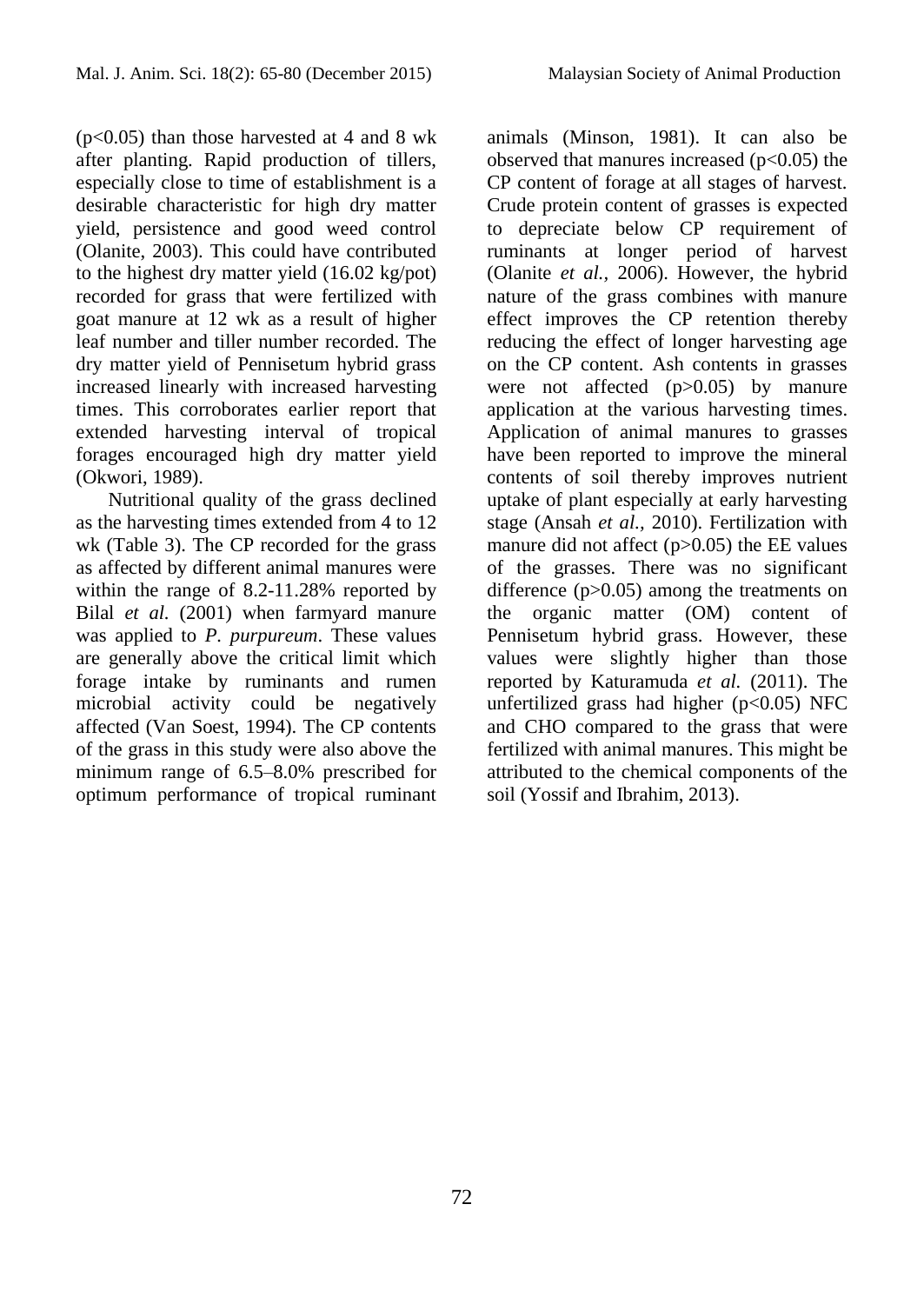(p<0.05) than those harvested at 4 and 8 wk after planting. Rapid production of tillers, especially close to time of establishment is a desirable characteristic for high dry matter yield, persistence and good weed control (Olanite, 2003). This could have contributed to the highest dry matter yield (16.02 kg/pot) recorded for grass that were fertilized with goat manure at 12 wk as a result of higher leaf number and tiller number recorded. The dry matter yield of Pennisetum hybrid grass increased linearly with increased harvesting times. This corroborates earlier report that extended harvesting interval of tropical forages encouraged high dry matter yield (Okwori, 1989).

Nutritional quality of the grass declined as the harvesting times extended from 4 to 12 wk (Table 3). The CP recorded for the grass as affected by different animal manures were within the range of 8.2-11.28% reported by Bilal *et al.* (2001) when farmyard manure was applied to *P. purpureum*. These values are generally above the critical limit which forage intake by ruminants and rumen microbial activity could be negatively affected (Van Soest, 1994). The CP contents of the grass in this study were also above the minimum range of 6.5–8.0% prescribed for optimum performance of tropical ruminant

animals (Minson, 1981). It can also be observed that manures increased  $(p<0.05)$  the CP content of forage at all stages of harvest. Crude protein content of grasses is expected to depreciate below CP requirement of ruminants at longer period of harvest (Olanite *et al.,* 2006). However, the hybrid nature of the grass combines with manure effect improves the CP retention thereby reducing the effect of longer harvesting age on the CP content. Ash contents in grasses were not affected (p>0.05) by manure application at the various harvesting times. Application of animal manures to grasses have been reported to improve the mineral contents of soil thereby improves nutrient uptake of plant especially at early harvesting stage (Ansah *et al.,* 2010). Fertilization with manure did not affect (p>0.05) the EE values of the grasses. There was no significant difference (p>0.05) among the treatments on the organic matter (OM) content of Pennisetum hybrid grass. However, these values were slightly higher than those reported by Katuramuda *et al.* (2011). The unfertilized grass had higher  $(p<0.05)$  NFC and CHO compared to the grass that were fertilized with animal manures. This might be attributed to the chemical components of the soil (Yossif and Ibrahim, 2013).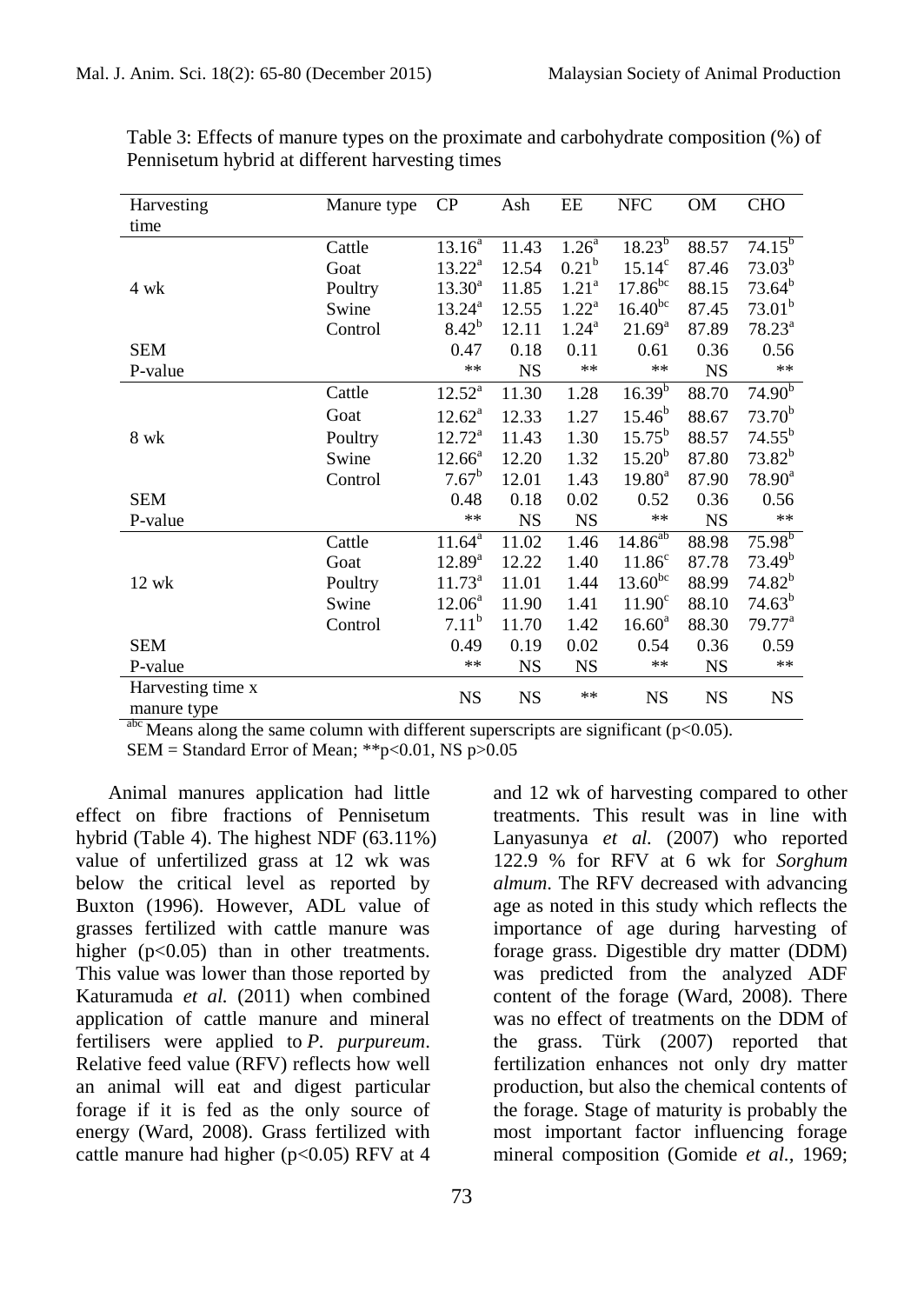| Harvesting        | Manure type | $\rm CP$               | Ash       | EE                | <b>NFC</b>         | OM        | <b>CHO</b>         |
|-------------------|-------------|------------------------|-----------|-------------------|--------------------|-----------|--------------------|
| time              |             |                        |           |                   |                    |           |                    |
|                   | Cattle      | $13.16^{\overline{a}}$ | 11.43     | $1.26^{a}$        | $18.23^{b}$        | 88.57     | $74.15^{b}$        |
|                   | Goat        | $13.22^a$              | 12.54     | $0.21^{b}$        | $15.14^c$          | 87.46     | $73.03^{b}$        |
| 4 wk              | Poultry     | $13.30^a$              | 11.85     | 1.21 <sup>a</sup> | $17.86^{bc}$       | 88.15     | $73.64^b$          |
|                   | Swine       | $13.24^{\circ}$        | 12.55     | $1.22^{\rm a}$    | $16.40^{bc}$       | 87.45     | $73.01^b$          |
|                   | Control     | $8.42^{b}$             | 12.11     | $1.24^{\rm a}$    | $21.69^a$          | 87.89     | $78.23^a$          |
| <b>SEM</b>        |             | 0.47                   | 0.18      | 0.11              | 0.61               | 0.36      | 0.56               |
| P-value           |             | $**$                   | <b>NS</b> | $**$              | $**$               | <b>NS</b> | $***$              |
|                   | Cattle      | $12.52^a$              | 11.30     | 1.28              | $16.39^{b}$        | 88.70     | 74.90 <sup>b</sup> |
|                   | Goat        | $12.62^a$              | 12.33     | 1.27              | $15.46^{b}$        | 88.67     | $73.70^{b}$        |
| 8 wk              | Poultry     | $12.72^a$              | 11.43     | 1.30              | $15.75^{b}$        | 88.57     | $74.55^{b}$        |
|                   | Swine       | $12.66^a$              | 12.20     | 1.32              | $15.20^{b}$        | 87.80     | $73.82^{b}$        |
|                   | Control     | $7.67^b$               | 12.01     | 1.43              | $19.80^{\text{a}}$ | 87.90     | $78.90^a$          |
| <b>SEM</b>        |             | 0.48                   | 0.18      | 0.02              | 0.52               | 0.36      | 0.56               |
| P-value           |             | $**$                   | <b>NS</b> | <b>NS</b>         | $***$              | <b>NS</b> | $***$              |
|                   | Cattle      | $11.64^{\circ}$        | 11.02     | 1.46              | $14.86^{ab}$       | 88.98     | $75.98^{b}$        |
|                   | Goat        | $12.89^{a}$            | 12.22     | 1.40              | 11.86 <sup>c</sup> | 87.78     | 73.49 <sup>b</sup> |
| 12 wk             | Poultry     | $11.73^a$              | 11.01     | 1.44              | $13.60^{bc}$       | 88.99     | $74.82^{b}$        |
|                   | Swine       | $12.06^a$              | 11.90     | 1.41              | 11.90 <sup>c</sup> | 88.10     | $74.63^{b}$        |
|                   | Control     | $7.11^{b}$             | 11.70     | 1.42              | $16.60^{\rm a}$    | 88.30     | 79.77 <sup>a</sup> |
| <b>SEM</b>        |             | 0.49                   | 0.19      | 0.02              | 0.54               | 0.36      | 0.59               |
| P-value           |             | $**$                   | <b>NS</b> | <b>NS</b>         | $***$              | <b>NS</b> | $***$              |
| Harvesting time x |             | <b>NS</b>              | <b>NS</b> | $**$              | <b>NS</b>          | <b>NS</b> | <b>NS</b>          |
| manure type       |             |                        |           |                   |                    |           |                    |

Table 3: Effects of manure types on the proximate and carbohydrate composition (%) of Pennisetum hybrid at different harvesting times

 $\frac{abc}{2}$  Means along the same column with different superscripts are significant (p<0.05).

 $SEM = Standard Error of Mean; **p<0.01, NS p>0.05$ 

Animal manures application had little effect on fibre fractions of Pennisetum hybrid (Table 4). The highest NDF (63.11%) value of unfertilized grass at 12 wk was below the critical level as reported by Buxton (1996). However, ADL value of grasses fertilized with cattle manure was higher (p<0.05) than in other treatments. This value was lower than those reported by Katuramuda *et al.* (2011) when combined application of cattle manure and mineral fertilisers were applied to *P. purpureum*. Relative feed value (RFV) reflects how well an animal will eat and digest particular forage if it is fed as the only source of energy (Ward, 2008). Grass fertilized with cattle manure had higher ( $p<0.05$ ) RFV at 4

and 12 wk of harvesting compared to other treatments. This result was in line with Lanyasunya *et al.* (2007) who reported 122.9 % for RFV at 6 wk for *Sorghum almum*. The RFV decreased with advancing age as noted in this study which reflects the importance of age during harvesting of forage grass. Digestible dry matter (DDM) was predicted from the analyzed ADF content of the forage (Ward, 2008). There was no effect of treatments on the DDM of the grass. Türk (2007) reported that fertilization enhances not only dry matter production, but also the chemical contents of the forage. Stage of maturity is probably the most important factor influencing forage mineral composition (Gomide *et al.,* 1969;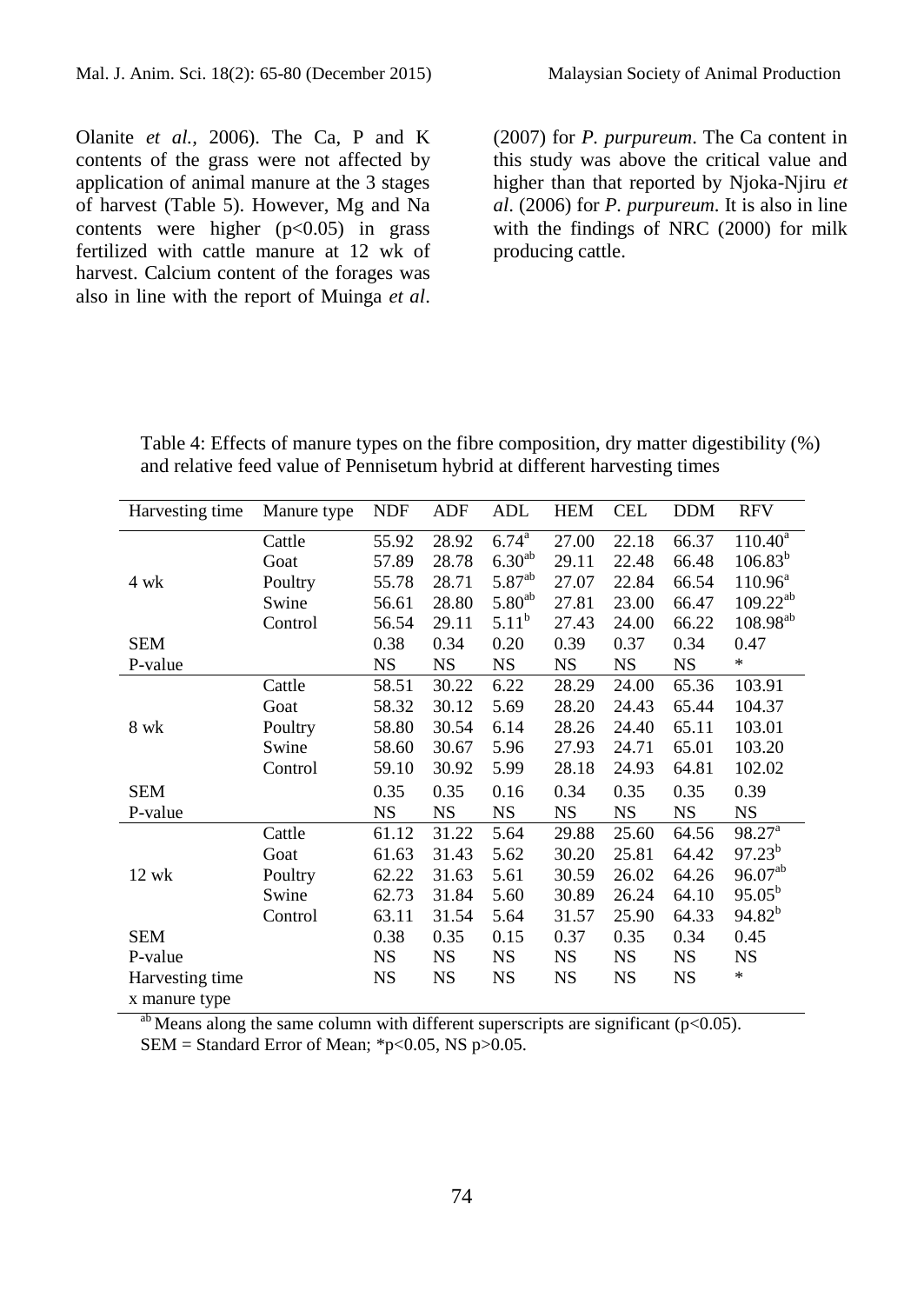Olanite *et al.,* 2006). The Ca, P and K contents of the grass were not affected by application of animal manure at the 3 stages of harvest (Table 5). However, Mg and Na contents were higher  $(p<0.05)$  in grass fertilized with cattle manure at 12 wk of harvest. Calcium content of the forages was also in line with the report of Muinga *et al*.

(2007) for *P. purpureum*. The Ca content in this study was above the critical value and higher than that reported by Njoka-Njiru *et al*. (2006) for *P. purpureum*. It is also in line with the findings of NRC (2000) for milk producing cattle.

Table 4: Effects of manure types on the fibre composition, dry matter digestibility (%) and relative feed value of Pennisetum hybrid at different harvesting times

| Harvesting time                  | Manure type | <b>NDF</b> | <b>ADF</b> | ADL         | <b>HEM</b> | <b>CEL</b> | <b>DDM</b> | <b>RFV</b>             |
|----------------------------------|-------------|------------|------------|-------------|------------|------------|------------|------------------------|
|                                  | Cattle      | 55.92      | 28.92      | $6.74^{a}$  | 27.00      | 22.18      | 66.37      | $110.40^a$             |
|                                  | Goat        | 57.89      | 28.78      | $6.30^{ab}$ | 29.11      | 22.48      | 66.48      | $106.83^{b}$           |
| 4 wk                             | Poultry     | 55.78      | 28.71      | $5.87^{ab}$ | 27.07      | 22.84      | 66.54      | $110.96^a$             |
|                                  | Swine       | 56.61      | 28.80      | $5.80^{ab}$ | 27.81      | 23.00      | 66.47      | $109.22^{ab}$          |
|                                  | Control     | 56.54      | 29.11      | $5.11^b$    | 27.43      | 24.00      | 66.22      | $108.98^{ab}$          |
| <b>SEM</b>                       |             | 0.38       | 0.34       | 0.20        | 0.39       | 0.37       | 0.34       | 0.47                   |
| P-value                          |             | <b>NS</b>  | <b>NS</b>  | <b>NS</b>   | <b>NS</b>  | <b>NS</b>  | <b>NS</b>  | $\ast$                 |
|                                  | Cattle      | 58.51      | 30.22      | 6.22        | 28.29      | 24.00      | 65.36      | 103.91                 |
|                                  | Goat        | 58.32      | 30.12      | 5.69        | 28.20      | 24.43      | 65.44      | 104.37                 |
| 8 wk                             | Poultry     | 58.80      | 30.54      | 6.14        | 28.26      | 24.40      | 65.11      | 103.01                 |
|                                  | Swine       | 58.60      | 30.67      | 5.96        | 27.93      | 24.71      | 65.01      | 103.20                 |
|                                  | Control     | 59.10      | 30.92      | 5.99        | 28.18      | 24.93      | 64.81      | 102.02                 |
| <b>SEM</b>                       |             | 0.35       | 0.35       | 0.16        | 0.34       | 0.35       | 0.35       | 0.39                   |
| P-value                          |             | <b>NS</b>  | <b>NS</b>  | <b>NS</b>   | <b>NS</b>  | <b>NS</b>  | <b>NS</b>  | <b>NS</b>              |
|                                  | Cattle      | 61.12      | 31.22      | 5.64        | 29.88      | 25.60      | 64.56      | $98.27^{\overline{a}}$ |
|                                  | Goat        | 61.63      | 31.43      | 5.62        | 30.20      | 25.81      | 64.42      | $97.23^{b}$            |
| 12 wk                            | Poultry     | 62.22      | 31.63      | 5.61        | 30.59      | 26.02      | 64.26      | $96.07^{ab}$           |
|                                  | Swine       | 62.73      | 31.84      | 5.60        | 30.89      | 26.24      | 64.10      | $95.05^{b}$            |
|                                  | Control     | 63.11      | 31.54      | 5.64        | 31.57      | 25.90      | 64.33      | $94.82^{b}$            |
| <b>SEM</b>                       |             | 0.38       | 0.35       | 0.15        | 0.37       | 0.35       | 0.34       | 0.45                   |
| P-value                          |             | <b>NS</b>  | <b>NS</b>  | <b>NS</b>   | <b>NS</b>  | <b>NS</b>  | NS         | <b>NS</b>              |
| Harvesting time<br>x manure type |             | <b>NS</b>  | <b>NS</b>  | <b>NS</b>   | <b>NS</b>  | <b>NS</b>  | <b>NS</b>  | *                      |

<sup>ab</sup> Means along the same column with different superscripts are significant ( $p<0.05$ ).  $SEM = Standard Error of Mean$ ; \*p<0.05, NS p>0.05.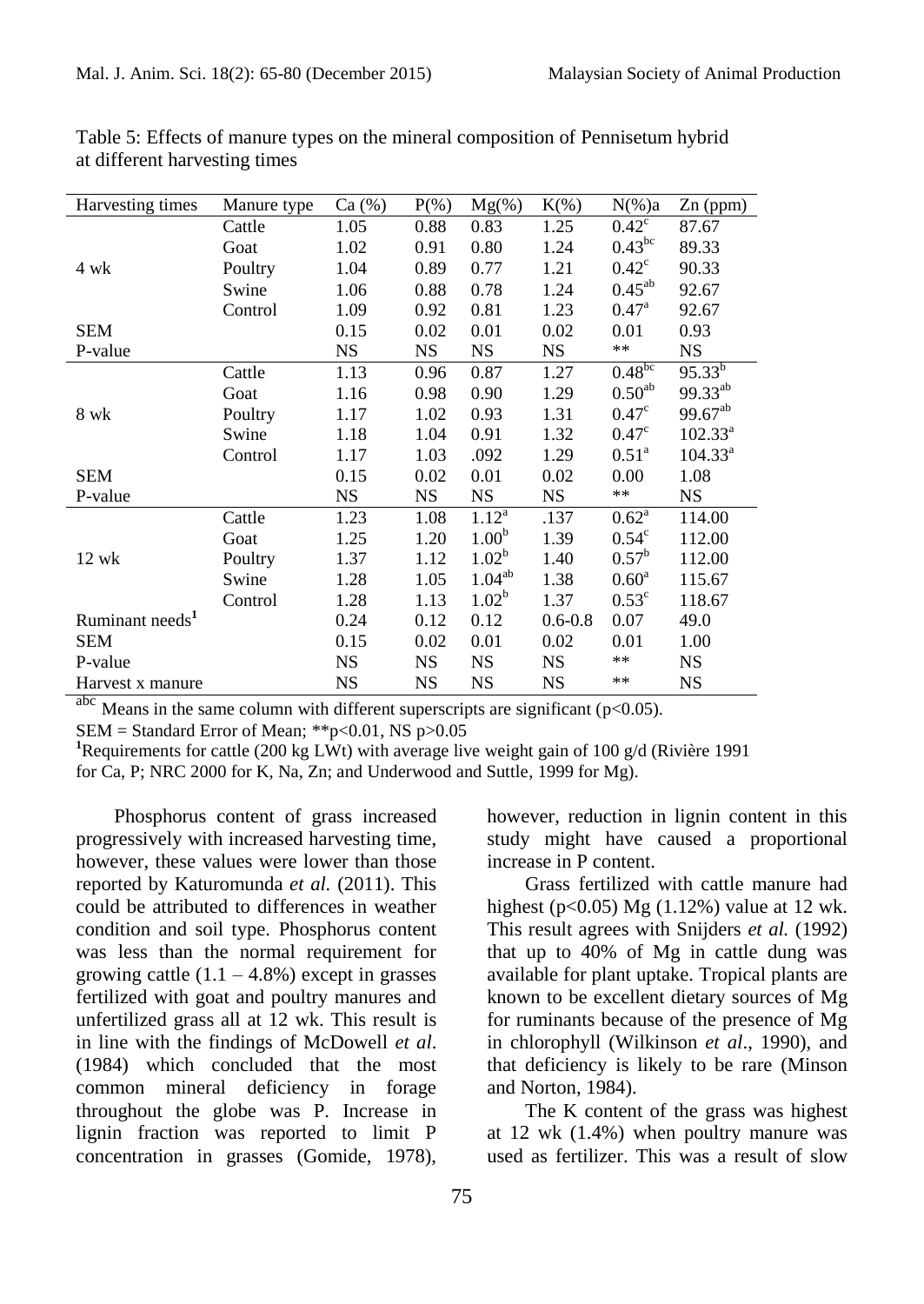| Harvesting times            | Manure type | Ca (%)    | $P(\% )$  | $Mg(\%)$          | $K(\%)$     | $N(\%)a$              | $Zn$ (ppm)          |
|-----------------------------|-------------|-----------|-----------|-------------------|-------------|-----------------------|---------------------|
|                             | Cattle      | 1.05      | 0.88      | 0.83              | 1.25        | $0.42^{\overline{c}}$ | 87.67               |
|                             | Goat        | 1.02      | 0.91      | 0.80              | 1.24        | $0.43^{bc}$           | 89.33               |
| 4 wk                        | Poultry     | 1.04      | 0.89      | 0.77              | 1.21        | $0.42^{\circ}$        | 90.33               |
|                             | Swine       | 1.06      | 0.88      | 0.78              | 1.24        | $0.45^{ab}$           | 92.67               |
|                             | Control     | 1.09      | 0.92      | 0.81              | 1.23        | $0.47^{\rm a}$        | 92.67               |
| <b>SEM</b>                  |             | 0.15      | 0.02      | 0.01              | 0.02        | 0.01                  | 0.93                |
| P-value                     |             | <b>NS</b> | <b>NS</b> | <b>NS</b>         | <b>NS</b>   | $**$                  | <b>NS</b>           |
|                             | Cattle      | 1.13      | 0.96      | 0.87              | 1.27        | $0.48^{bc}$           | $95.33^{b}$         |
|                             | Goat        | 1.16      | 0.98      | 0.90              | 1.29        | 0.50 <sup>ab</sup>    | 99.33 <sup>ab</sup> |
| 8 wk                        | Poultry     | 1.17      | 1.02      | 0.93              | 1.31        | 0.47 <sup>c</sup>     | $99.67^{ab}$        |
|                             | Swine       | 1.18      | 1.04      | 0.91              | 1.32        | $0.47^\circ$          | $102.33^{a}$        |
|                             | Control     | 1.17      | 1.03      | .092              | 1.29        | $0.51^{\rm a}$        | $104.33^a$          |
| <b>SEM</b>                  |             | 0.15      | 0.02      | 0.01              | 0.02        | 0.00                  | 1.08                |
| P-value                     |             | <b>NS</b> | <b>NS</b> | <b>NS</b>         | <b>NS</b>   | **                    | NS                  |
|                             | Cattle      | 1.23      | 1.08      | $1.12^{a}$        | .137        | $0.62^{\rm a}$        | 114.00              |
|                             | Goat        | 1.25      | 1.20      | 1.00 <sup>b</sup> | 1.39        | $0.54^{\circ}$        | 112.00              |
| $12$ wk                     | Poultry     | 1.37      | 1.12      | $1.02^b$          | 1.40        | $0.57^{\rm b}$        | 112.00              |
|                             | Swine       | 1.28      | 1.05      | $1.04^{ab}$       | 1.38        | $0.60^{\rm a}$        | 115.67              |
|                             | Control     | 1.28      | 1.13      | $1.02^b$          | 1.37        | $0.53^{\circ}$        | 118.67              |
| Ruminant needs <sup>1</sup> |             | 0.24      | 0.12      | 0.12              | $0.6 - 0.8$ | 0.07                  | 49.0                |
| <b>SEM</b>                  |             | 0.15      | 0.02      | 0.01              | 0.02        | 0.01                  | 1.00                |
| P-value                     |             | <b>NS</b> | <b>NS</b> | <b>NS</b>         | <b>NS</b>   | $**$                  | <b>NS</b>           |
| Harvest x manure            |             | <b>NS</b> | <b>NS</b> | <b>NS</b>         | <b>NS</b>   | $**$                  | <b>NS</b>           |

Table 5: Effects of manure types on the mineral composition of Pennisetum hybrid at different harvesting times

 $\frac{abc}{b}$  Means in the same column with different superscripts are significant (p<0.05).

 $SEM = Standard Error of Mean; **p<0.01, NS p>0.05$ 

**<sup>1</sup>**Requirements for cattle (200 kg LWt) with average live weight gain of 100 g/d (Rivière 1991

for Ca, P; NRC 2000 for K, Na, Zn; and Underwood and Suttle, 1999 for Mg).

Phosphorus content of grass increased progressively with increased harvesting time, however, these values were lower than those reported by Katuromunda *et al.* (2011). This could be attributed to differences in weather condition and soil type. Phosphorus content was less than the normal requirement for growing cattle  $(1.1 - 4.8\%)$  except in grasses fertilized with goat and poultry manures and unfertilized grass all at 12 wk. This result is in line with the findings of McDowell *et al*. (1984) which concluded that the most common mineral deficiency in forage throughout the globe was P. Increase in lignin fraction was reported to limit P concentration in grasses (Gomide, 1978),

however, reduction in lignin content in this study might have caused a proportional increase in P content.

Grass fertilized with cattle manure had highest ( $p < 0.05$ ) Mg (1.12%) value at 12 wk. This result agrees with Snijders *et al.* (1992) that up to 40% of Mg in cattle dung was available for plant uptake. Tropical plants are known to be excellent dietary sources of Mg for ruminants because of the presence of Mg in chlorophyll (Wilkinson *et al*., 1990), and that deficiency is likely to be rare (Minson and Norton, 1984).

The K content of the grass was highest at 12 wk (1.4%) when poultry manure was used as fertilizer. This was a result of slow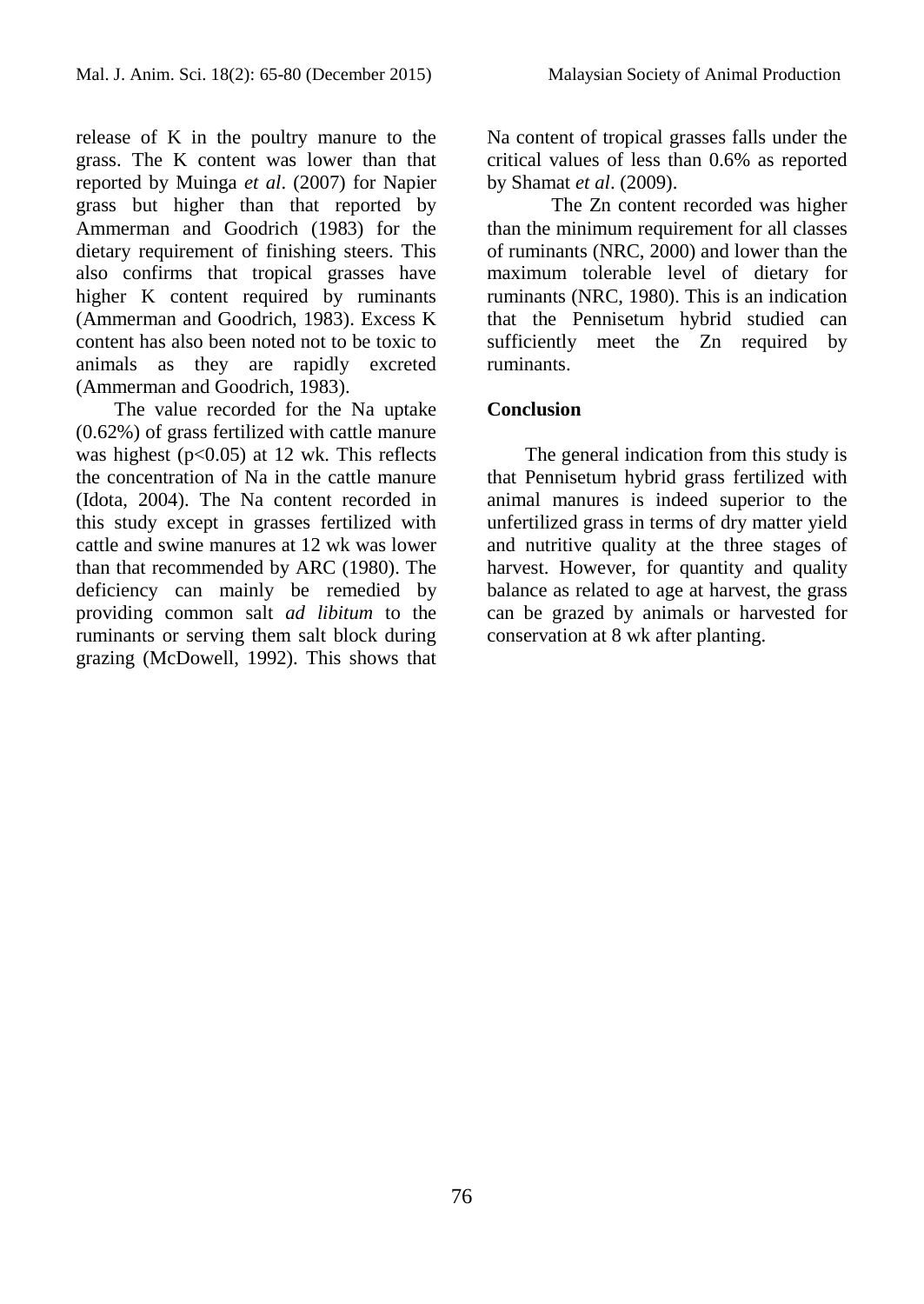release of K in the poultry manure to the grass. The K content was lower than that reported by Muinga *et al*. (2007) for Napier grass but higher than that reported by Ammerman and Goodrich (1983) for the dietary requirement of finishing steers. This also confirms that tropical grasses have higher K content required by ruminants (Ammerman and Goodrich, 1983). Excess K content has also been noted not to be toxic to animals as they are rapidly excreted (Ammerman and Goodrich, 1983).

The value recorded for the Na uptake (0.62%) of grass fertilized with cattle manure was highest ( $p<0.05$ ) at 12 wk. This reflects the concentration of Na in the cattle manure (Idota, 2004). The Na content recorded in this study except in grasses fertilized with cattle and swine manures at 12 wk was lower than that recommended by ARC (1980). The deficiency can mainly be remedied by providing common salt *ad libitum* to the ruminants or serving them salt block during grazing (McDowell, 1992). This shows that

Na content of tropical grasses falls under the critical values of less than 0.6% as reported by Shamat *et al*. (2009).

The Zn content recorded was higher than the minimum requirement for all classes of ruminants (NRC, 2000) and lower than the maximum tolerable level of dietary for ruminants (NRC, 1980). This is an indication that the Pennisetum hybrid studied can sufficiently meet the Zn required by ruminants.

## **Conclusion**

The general indication from this study is that Pennisetum hybrid grass fertilized with animal manures is indeed superior to the unfertilized grass in terms of dry matter yield and nutritive quality at the three stages of harvest. However, for quantity and quality balance as related to age at harvest, the grass can be grazed by animals or harvested for conservation at 8 wk after planting.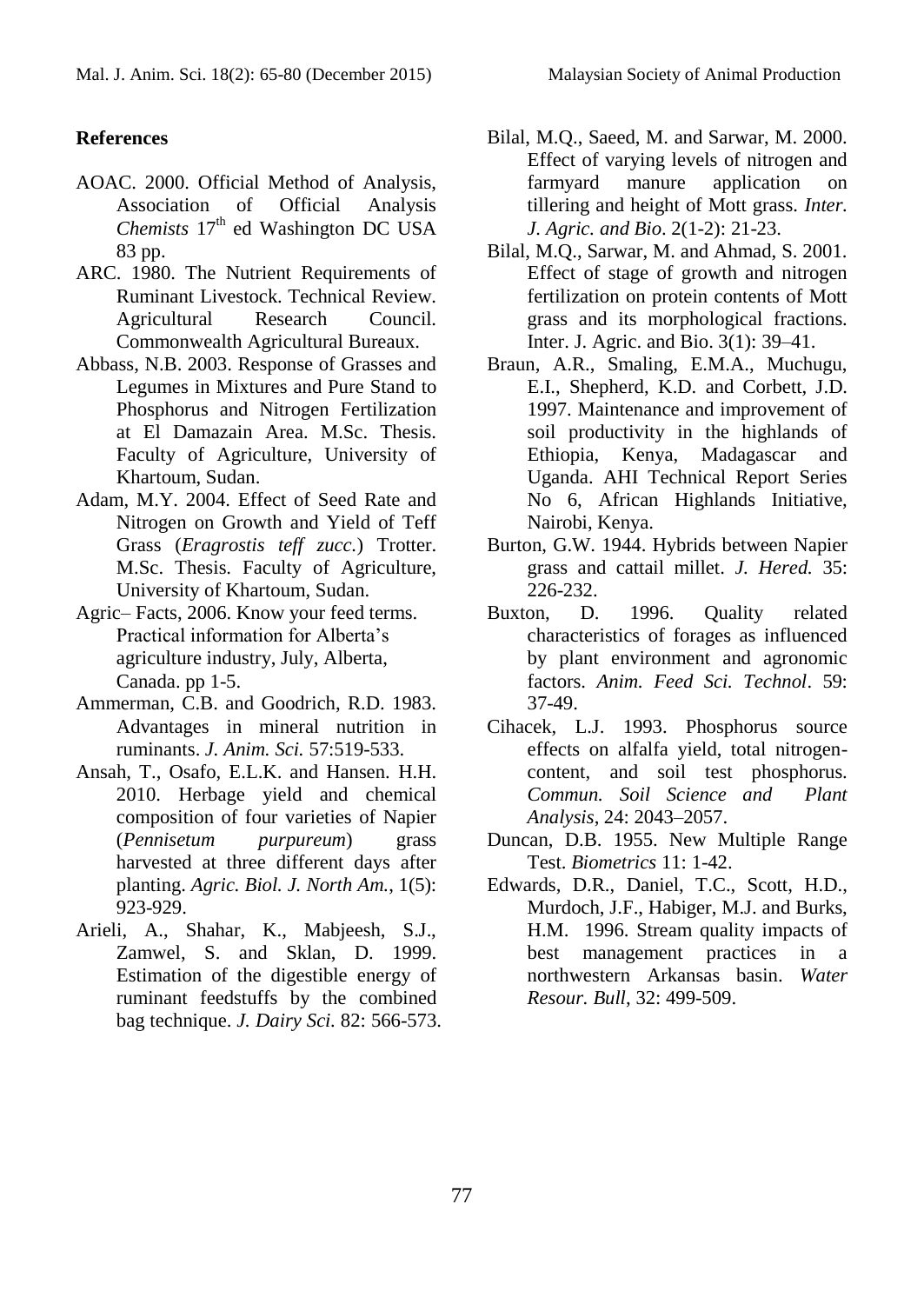# **References**

- AOAC. 2000. Official Method of Analysis, Association of Official Analysis *Chemists* 17<sup>th</sup> ed Washington DC USA 83 pp.
- ARC. 1980. The Nutrient Requirements of Ruminant Livestock. Technical Review. Agricultural Research Council. Commonwealth Agricultural Bureaux.
- Abbass, N.B. 2003. Response of Grasses and Legumes in Mixtures and Pure Stand to Phosphorus and Nitrogen Fertilization at El Damazain Area. M.Sc. Thesis. Faculty of Agriculture, University of Khartoum, Sudan.
- Adam, M.Y. 2004. Effect of Seed Rate and Nitrogen on Growth and Yield of Teff Grass (*Eragrostis teff zucc.*) Trotter. M.Sc. Thesis. Faculty of Agriculture, University of Khartoum, Sudan.
- Agric– Facts, 2006. Know your feed terms. Practical information for Alberta's agriculture industry, July, Alberta, Canada. pp 1-5.
- Ammerman, C.B. and Goodrich, R.D. 1983. Advantages in mineral nutrition in ruminants. *J. Anim. Sci.* 57:519-533.
- Ansah, T., Osafo, E.L.K. and Hansen. H.H. 2010. Herbage yield and chemical composition of four varieties of Napier (*Pennisetum purpureum*) grass harvested at three different days after planting. *Agric. Biol. J. North Am.*, 1(5): 923-929.
- Arieli, A., Shahar, K., Mabjeesh, S.J., Zamwel, S. and Sklan, D. 1999. Estimation of the digestible energy of ruminant feedstuffs by the combined bag technique. *J. Dairy Sci.* 82: 566-573.
- Bilal, M.Q., Saeed, M. and Sarwar, M. 2000. Effect of varying levels of nitrogen and farmyard manure application on tillering and height of Mott grass*. Inter. J. Agric. and Bio*. 2(1-2): 21-23.
- Bilal, M.Q., Sarwar, M. and Ahmad, S. 2001. Effect of stage of growth and nitrogen fertilization on protein contents of Mott grass and its morphological fractions. Inter. J. Agric. and Bio. 3(1): 39–41.
- Braun, A.R., Smaling, E.M.A., Muchugu, E.I., Shepherd, K.D. and Corbett, J.D. 1997. Maintenance and improvement of soil productivity in the highlands of Ethiopia, Kenya, Madagascar and Uganda. AHI Technical Report Series No 6, African Highlands Initiative, Nairobi, Kenya.
- Burton, G.W. 1944. Hybrids between Napier grass and cattail millet. *J. Hered.* 35: 226-232.
- Buxton, D. 1996. Quality related characteristics of forages as influenced by plant environment and agronomic factors. *Anim. Feed Sci. Technol*. 59: 37-49.
- Cihacek, L.J. 1993. Phosphorus source effects on alfalfa yield, total nitrogencontent, and soil test phosphorus. *Commun. Soil Science and Plant Analysis*, 24: 2043–2057.
- Duncan, D.B. 1955. New Multiple Range Test. *Biometrics* 11: 1-42.
- Edwards, D.R., Daniel, T.C., Scott, H.D., Murdoch, J.F., Habiger, M.J. and Burks, H.M. 1996. Stream quality impacts of best management practices in a northwestern Arkansas basin. *Water Resour. Bull*, 32: 499-509.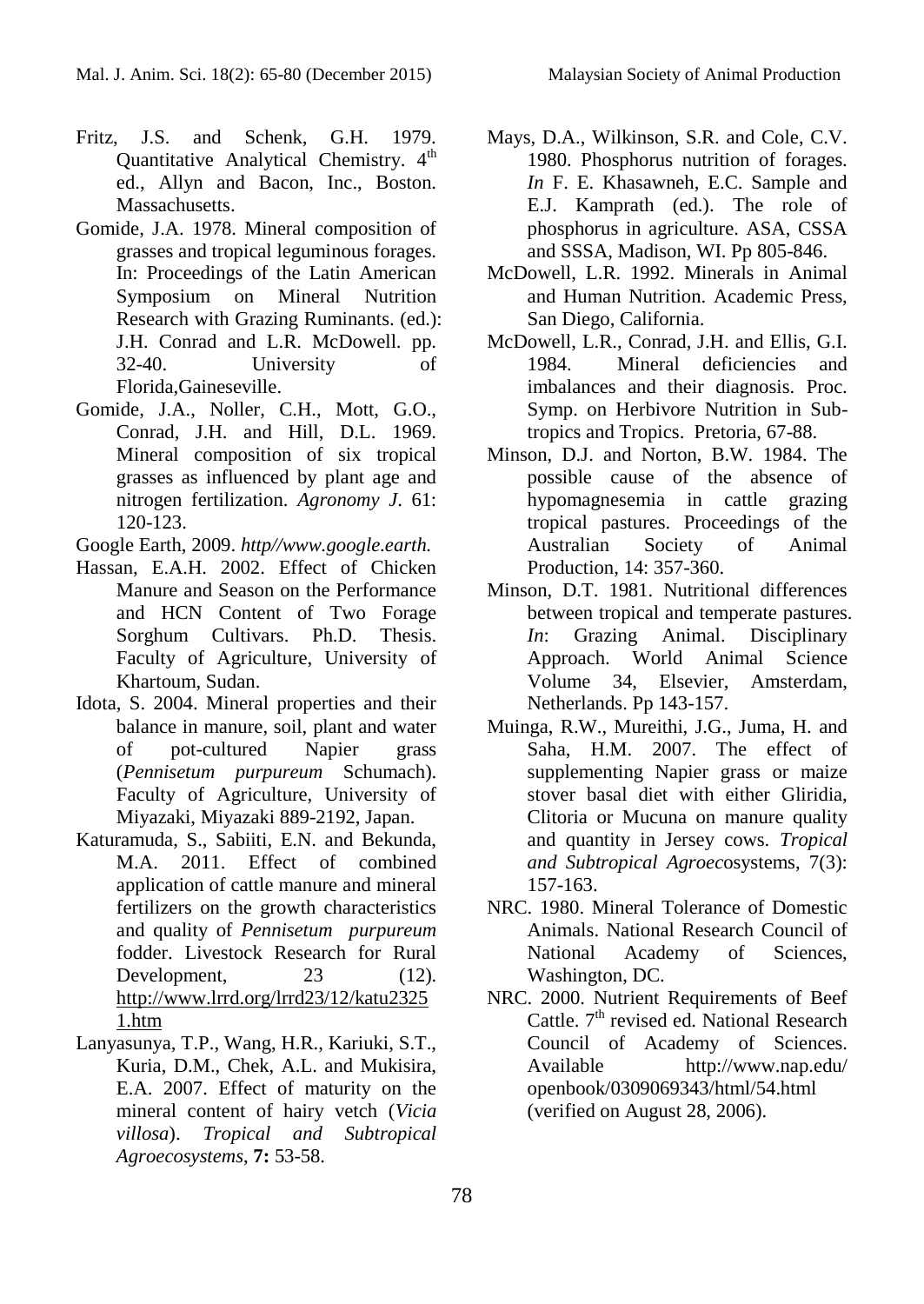- Fritz, J.S. and Schenk, G.H. 1979. Quantitative Analytical Chemistry. 4<sup>th</sup> ed., Allyn and Bacon, Inc., Boston. Massachusetts.
- Gomide, J.A. 1978. Mineral composition of grasses and tropical leguminous forages. In: Proceedings of the Latin American Symposium on Mineral Nutrition Research with Grazing Ruminants. (ed.): J.H. Conrad and L.R. McDowell. pp. 32-40. University of Florida,Gaineseville.
- Gomide, J.A., Noller, C.H., Mott, G.O., Conrad, J.H. and Hill, D.L. 1969. Mineral composition of six tropical grasses as influenced by plant age and nitrogen fertilization. *Agronomy J*. 61: 120-123.
- Google Earth, 2009. *http//www.google.earth.*
- Hassan, E.A.H. 2002. Effect of Chicken Manure and Season on the Performance and HCN Content of Two Forage Sorghum Cultivars. Ph.D. Thesis. Faculty of Agriculture, University of Khartoum, Sudan.
- Idota, S. 2004. Mineral properties and their balance in manure, soil, plant and water of pot-cultured Napier grass (*Pennisetum purpureum* Schumach). Faculty of Agriculture, University of Miyazaki, Miyazaki 889-2192, Japan.
- Katuramuda, S., Sabiiti, E.N. and Bekunda, M.A. 2011. Effect of combined application of cattle manure and mineral fertilizers on the growth characteristics and quality of *Pennisetum purpureum* fodder. Livestock Research for Rural Development, 23 (12). [http://www.lrrd.org/lrrd23/12/katu2325](http://www.lrrd.org/lrrd23/12/katu23251.htm) [1.htm](http://www.lrrd.org/lrrd23/12/katu23251.htm)
- Lanyasunya, T.P., Wang, H.R., Kariuki, S.T., Kuria, D.M., Chek, A.L. and Mukisira, E.A. 2007. Effect of maturity on the mineral content of hairy vetch (*Vicia villosa*). *Tropical and Subtropical Agroecosystems*, **7:** 53-58.
- Mays, D.A., Wilkinson, S.R. and Cole, C.V. 1980. Phosphorus nutrition of forages. *In* F. E. Khasawneh, E.C. Sample and E.J. Kamprath (ed.). The role of phosphorus in agriculture. ASA, CSSA and SSSA, Madison, WI. Pp 805-846.
- McDowell, L.R. 1992. Minerals in Animal and Human Nutrition. Academic Press, San Diego, California.
- McDowell, L.R., Conrad, J.H. and Ellis, G.I. 1984. Mineral deficiencies and imbalances and their diagnosis. Proc. Symp. on Herbivore Nutrition in Subtropics and Tropics. Pretoria, 67-88.
- Minson, D.J. and Norton, B.W. 1984. The possible cause of the absence of hypomagnesemia in cattle grazing tropical pastures. Proceedings of the Australian Society of Animal Production, 14: 357-360.
- Minson, D.T. 1981. Nutritional differences between tropical and temperate pastures. *In*: Grazing Animal. Disciplinary Approach. World Animal Science Volume 34, Elsevier, Amsterdam, Netherlands. Pp 143-157.
- Muinga, R.W., Mureithi, J.G., Juma, H. and Saha, H.M. 2007. The effect of supplementing Napier grass or maize stover basal diet with either Gliridia, Clitoria or Mucuna on manure quality and quantity in Jersey cows. *Tropical and Subtropical Agroec*osystems, 7(3): 157-163.
- NRC. 1980. Mineral Tolerance of Domestic Animals. National Research Council of National Academy of Sciences, Washington, DC.
- NRC. 2000. Nutrient Requirements of Beef Cattle.  $7<sup>th</sup>$  revised ed. National Research Council of Academy of Sciences. Available http://www.nap.edu/ openbook/0309069343/html/54.html (verified on August 28, 2006).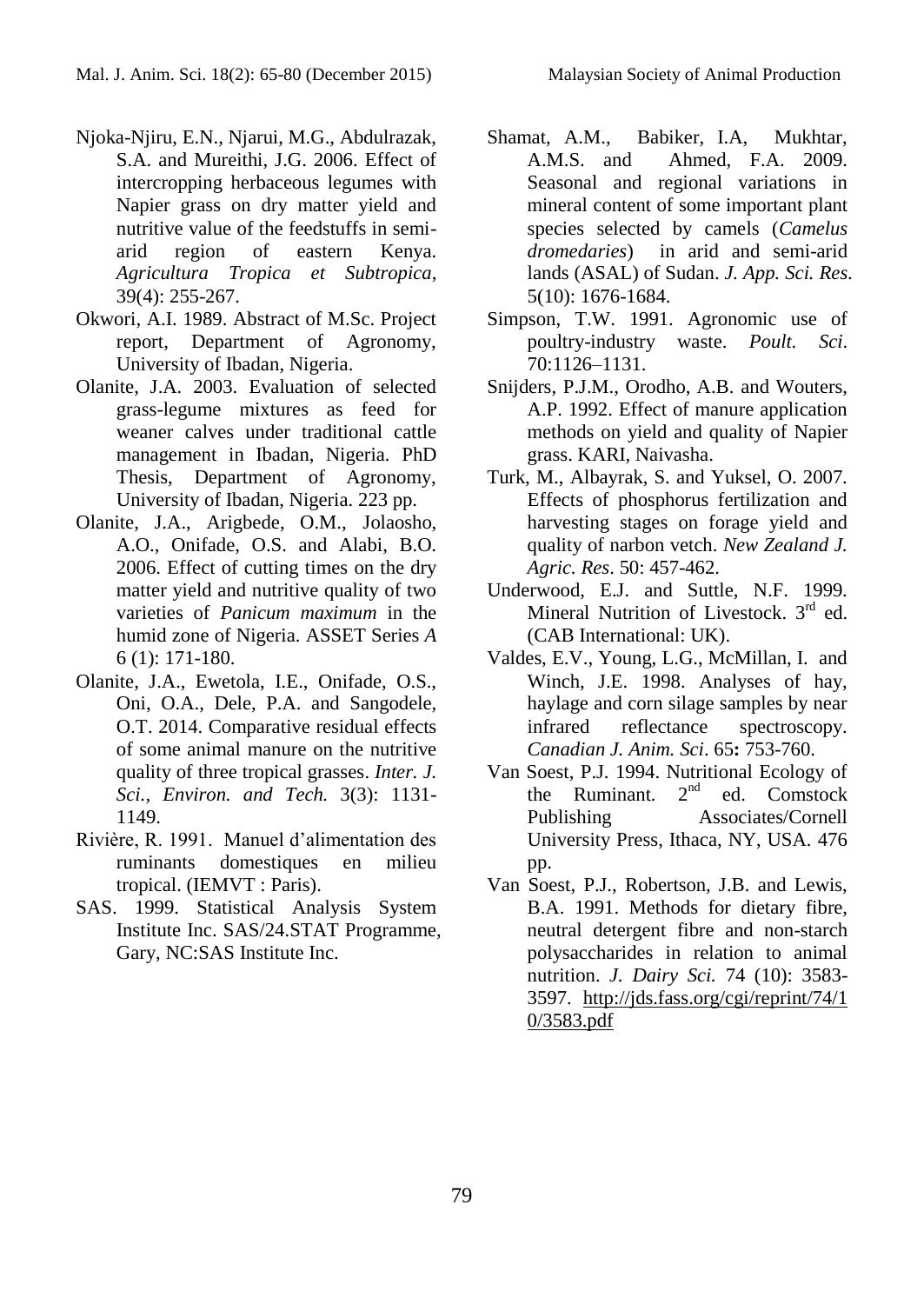- Njoka-Njiru, E.N., Njarui, M.G., Abdulrazak, S.A. and Mureithi, J.G. 2006. Effect of intercropping herbaceous legumes with Napier grass on dry matter yield and nutritive value of the feedstuffs in semiarid region of eastern Kenya. *Agricultura Tropica et Subtropica*, 39(4): 255-267.
- Okwori, A.I. 1989. Abstract of M.Sc. Project report, Department of Agronomy, University of Ibadan, Nigeria.
- Olanite, J.A. 2003. Evaluation of selected grass-legume mixtures as feed for weaner calves under traditional cattle management in Ibadan, Nigeria*.* PhD Thesis, Department of Agronomy, University of Ibadan, Nigeria. 223 pp.
- Olanite, J.A., Arigbede, O.M., Jolaosho, A.O., Onifade, O.S. and Alabi, B.O. 2006. Effect of cutting times on the dry matter yield and nutritive quality of two varieties of *Panicum maximum* in the humid zone of Nigeria. ASSET Series *A*  6 (1): 171-180.
- Olanite, J.A., Ewetola, I.E., Onifade, O.S., Oni, O.A., Dele, P.A. and Sangodele, O.T. 2014. Comparative residual effects of some animal manure on the nutritive quality of three tropical grasses. *Inter. J. Sci., Environ. and Tech.* 3(3): 1131- 1149.
- Rivière, R. 1991. Manuel d'alimentation des ruminants domestiques en milieu tropical. (IEMVT : Paris).
- SAS. 1999. Statistical Analysis System Institute Inc. SAS/24.STAT Programme, Gary, NC:SAS Institute Inc.
- Shamat, A.M., Babiker, I.A, Mukhtar, A.M.S. and Ahmed, F.A. 2009. Seasonal and regional variations in mineral content of some important plant species selected by camels (*Camelus dromedaries*) in arid and semi-arid lands (ASAL) of Sudan. *J. App. Sci. Res*. 5(10): 1676-1684.
- Simpson, T.W. 1991. Agronomic use of poultry-industry waste. *Poult. Sci*. 70:1126–1131.
- Snijders, P.J.M., Orodho, A.B. and Wouters, A.P. 1992. Effect of manure application methods on yield and quality of Napier grass. KARI, Naivasha.
- Turk, M., Albayrak, S. and Yuksel, O. 2007. Effects of phosphorus fertilization and harvesting stages on forage yield and quality of narbon vetch. *New Zealand J. Agric. Res*. 50: 457-462.
- Underwood, E.J. and Suttle, N.F. 1999. Mineral Nutrition of Livestock. 3<sup>rd</sup> ed. (CAB International: UK).
- Valdes, E.V., Young, L.G., McMillan, I. and Winch, J.E. 1998. Analyses of hay, haylage and corn silage samples by near infrared reflectance spectroscopy. *Canadian J. Anim. Sci*. 65**:** 753-760.
- Van Soest, P.J. 1994. Nutritional Ecology of the Ruminant.  $2<sup>nd</sup>$  ed. Comstock Publishing Associates/Cornell University Press, Ithaca, NY, USA. 476 pp.
- Van Soest, P.J., Robertson, J.B. and Lewis, B.A. 1991. Methods for dietary fibre, neutral detergent fibre and non-starch polysaccharides in relation to animal nutrition. *J. Dairy Sci.* 74 (10): 3583- 3597. [http://jds.fass.org/cgi/reprint/74/1](http://jds.fass.org/cgi/reprint/74/10/3583.pdf) [0/3583.pdf](http://jds.fass.org/cgi/reprint/74/10/3583.pdf)